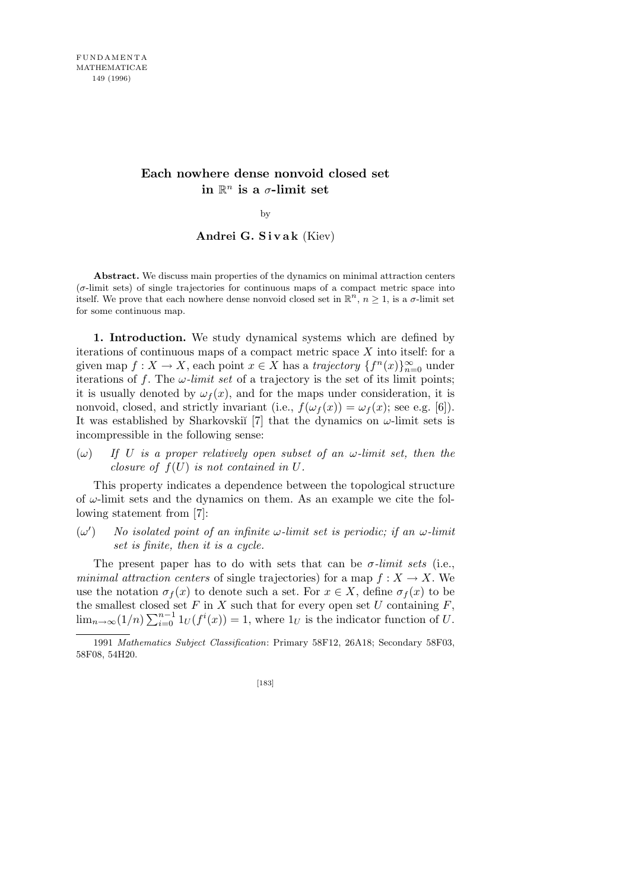# **Each nowhere dense nonvoid closed set**  $\mathbf{i}$ **n**  $\mathbb{R}^n$  **is a**  $\sigma$ **-limit set**

by

## **Andrei G. S i v a k** (Kiev)

**Abstract.** We discuss main properties of the dynamics on minimal attraction centers (*σ*-limit sets) of single trajectories for continuous maps of a compact metric space into itself. We prove that each nowhere dense nonvoid closed set in  $\mathbb{R}^n$ ,  $n \geq 1$ , is a *σ*-limit set for some continuous map.

**1. Introduction.** We study dynamical systems which are defined by iterations of continuous maps of a compact metric space *X* into itself: for a given map  $f: X \to X$ , each point  $x \in X$  has a *trajectory*  $\{f^n(x)\}_{n=0}^{\infty}$  under iterations of f. The  $\omega$ *-limit set* of a trajectory is the set of its limit points; it is usually denoted by  $\omega_f(x)$ , and for the maps under consideration, it is nonvoid, closed, and strictly invariant (i.e.,  $f(\omega_f(x)) = \omega_f(x)$ ; see e.g. [6]). It was established by Sharkovski<sup> $\lceil 7 \rceil$ </sup> that the dynamics on  $\omega$ -limit sets is incompressible in the following sense:

(*ω*) *If U is a proper relatively open subset of an ω-limit set, then the closure of*  $f(U)$  *is not contained in*  $U$ *.* 

This property indicates a dependence between the topological structure of *ω*-limit sets and the dynamics on them. As an example we cite the following statement from [7]:

 $(\omega'$ ) *No isolated point of an infinite ω-limit set is periodic; if an ω-limit set is finite, then it is a cycle.*

The present paper has to do with sets that can be  $\sigma$ *-limit sets* (i.e., *minimal attraction centers* of single trajectories) for a map  $f: X \to X$ . We use the notation  $\sigma_f(x)$  to denote such a set. For  $x \in X$ , define  $\sigma_f(x)$  to be the smallest closed set  $F$  in  $X$  such that for every open set  $U$  containing  $F$ ,  $\lim_{n\to\infty}(1/n)\sum_{i=0}^{n-1}$  $\int_{i=0}^{n-1} 1_U(f^i(x)) = 1$ , where  $1_U$  is the indicator function of *U*.

<sup>1991</sup> *Mathematics Subject Classification*: Primary 58F12, 26A18; Secondary 58F03, 58F08, 54H20.

<sup>[183]</sup>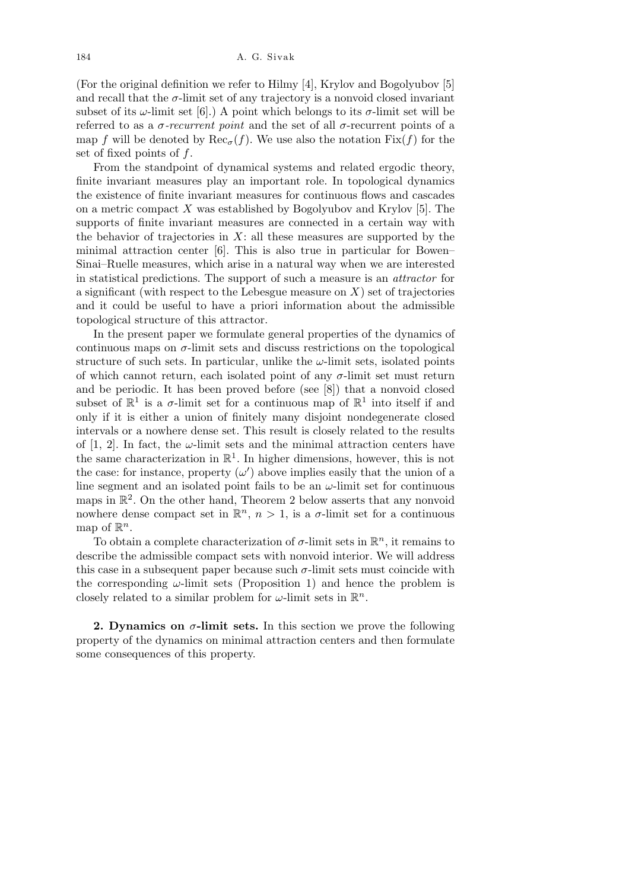(For the original definition we refer to Hilmy [4], Krylov and Bogolyubov [5] and recall that the  $\sigma$ -limit set of any trajectory is a nonvoid closed invariant subset of its  $\omega$ -limit set [6].) A point which belongs to its  $\sigma$ -limit set will be referred to as a *σ-recurrent point* and the set of all *σ*-recurrent points of a map *f* will be denoted by  $\text{Rec}_{\sigma}(f)$ . We use also the notation  $\text{Fix}(f)$  for the set of fixed points of *f*.

From the standpoint of dynamical systems and related ergodic theory, finite invariant measures play an important role. In topological dynamics the existence of finite invariant measures for continuous flows and cascades on a metric compact *X* was established by Bogolyubov and Krylov [5]. The supports of finite invariant measures are connected in a certain way with the behavior of trajectories in *X*: all these measures are supported by the minimal attraction center [6]. This is also true in particular for Bowen– Sinai–Ruelle measures, which arise in a natural way when we are interested in statistical predictions. The support of such a measure is an *attractor* for a significant (with respect to the Lebesgue measure on *X*) set of trajectories and it could be useful to have a priori information about the admissible topological structure of this attractor.

In the present paper we formulate general properties of the dynamics of continuous maps on  $\sigma$ -limit sets and discuss restrictions on the topological structure of such sets. In particular, unlike the  $\omega$ -limit sets, isolated points of which cannot return, each isolated point of any  $\sigma$ -limit set must return and be periodic. It has been proved before (see [8]) that a nonvoid closed subset of  $\mathbb{R}^1$  is a *σ*-limit set for a continuous map of  $\mathbb{R}^1$  into itself if and only if it is either a union of finitely many disjoint nondegenerate closed intervals or a nowhere dense set. This result is closely related to the results of  $[1, 2]$ . In fact, the  $\omega$ -limit sets and the minimal attraction centers have the same characterization in  $\mathbb{R}^1$ . In higher dimensions, however, this is not the case: for instance, property  $(\omega')$  above implies easily that the union of a line segment and an isolated point fails to be an  $\omega$ -limit set for continuous maps in  $\mathbb{R}^2$ . On the other hand, Theorem 2 below asserts that any nonvoid nowhere dense compact set in  $\mathbb{R}^n$ ,  $n > 1$ , is a  $\sigma$ -limit set for a continuous map of  $\mathbb{R}^n$ .

To obtain a complete characterization of  $\sigma$ -limit sets in  $\mathbb{R}^n$ , it remains to describe the admissible compact sets with nonvoid interior. We will address this case in a subsequent paper because such  $\sigma$ -limit sets must coincide with the corresponding  $\omega$ -limit sets (Proposition 1) and hence the problem is closely related to a similar problem for  $\omega$ -limit sets in  $\mathbb{R}^n$ .

**2. Dynamics on**  $\sigma$ -limit sets. In this section we prove the following property of the dynamics on minimal attraction centers and then formulate some consequences of this property.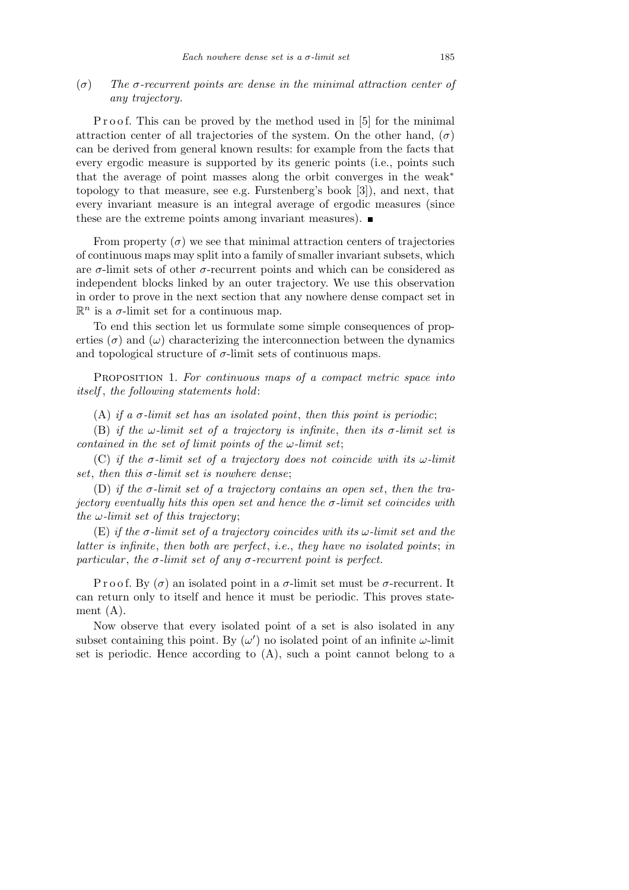# (*σ*) *The σ-recurrent points are dense in the minimal attraction center of any trajectory.*

P r o o f. This can be proved by the method used in [5] for the minimal attraction center of all trajectories of the system. On the other hand,  $(\sigma)$ can be derived from general known results: for example from the facts that every ergodic measure is supported by its generic points (i.e., points such that the average of point masses along the orbit converges in the weak*<sup>∗</sup>* topology to that measure, see e.g. Furstenberg's book [3]), and next, that every invariant measure is an integral average of ergodic measures (since these are the extreme points among invariant measures).  $\blacksquare$ 

From property  $(\sigma)$  we see that minimal attraction centers of trajectories of continuous maps may split into a family of smaller invariant subsets, which are  $\sigma$ -limit sets of other  $\sigma$ -recurrent points and which can be considered as independent blocks linked by an outer trajectory. We use this observation in order to prove in the next section that any nowhere dense compact set in  $\mathbb{R}^n$  is a  $\sigma$ -limit set for a continuous map.

To end this section let us formulate some simple consequences of properties  $(\sigma)$  and  $(\omega)$  characterizing the interconnection between the dynamics and topological structure of  $\sigma$ -limit sets of continuous maps.

Proposition 1. *For continuous maps of a compact metric space into itself* , *the following statements hold*:

(A) *if a*  $\sigma$ -limit set has an isolated point, then this point is periodic;

(B) *if the*  $\omega$ *-limit set of a trajectory is infinite, then its*  $\sigma$ *-limit set is contained in the set of limit points of the ω-limit set*;

(C) *if the σ-limit set of a trajectory does not coincide with its ω-limit set*, *then this σ-limit set is nowhere dense*;

(D) *if the σ-limit set of a trajectory contains an open set*, *then the trajectory eventually hits this open set and hence the σ-limit set coincides with the ω-limit set of this trajectory*;

(E) *if the σ-limit set of a trajectory coincides with its ω-limit set and the latter is infinite*, *then both are perfect*, *i.e.*, *they have no isolated points*; *in particular, the*  $\sigma$ *-limit set of any*  $\sigma$ *-recurrent point is perfect.* 

P r o o f. By  $(\sigma)$  an isolated point in a  $\sigma$ -limit set must be  $\sigma$ -recurrent. It can return only to itself and hence it must be periodic. This proves statement (A).

Now observe that every isolated point of a set is also isolated in any subset containing this point. By  $(\omega')$  no isolated point of an infinite  $\omega$ -limit set is periodic. Hence according to  $(A)$ , such a point cannot belong to a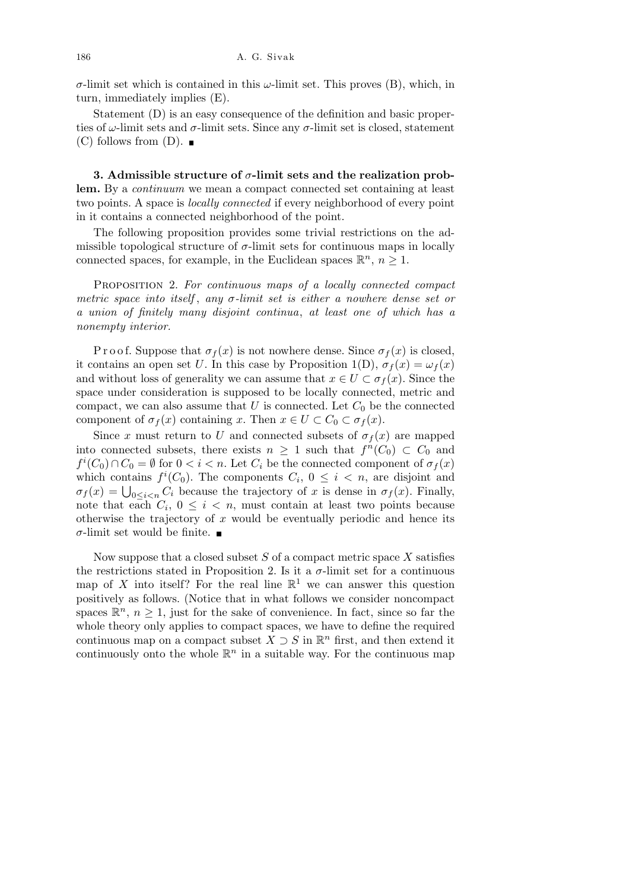*σ*-limit set which is contained in this *ω*-limit set. This proves (B), which, in turn, immediately implies (E).

Statement (D) is an easy consequence of the definition and basic properties of  $\omega$ -limit sets and  $\sigma$ -limit sets. Since any  $\sigma$ -limit set is closed, statement  $(C)$  follows from  $(D)$ .

**3. Admissible structure of** *σ***-limit sets and the realization problem.** By a *continuum* we mean a compact connected set containing at least two points. A space is *locally connected* if every neighborhood of every point in it contains a connected neighborhood of the point.

The following proposition provides some trivial restrictions on the admissible topological structure of  $\sigma$ -limit sets for continuous maps in locally connected spaces, for example, in the Euclidean spaces  $\mathbb{R}^n$ ,  $n \geq 1$ .

Proposition 2. *For continuous maps of a locally connected compact metric space into itself* , *any σ-limit set is either a nowhere dense set or a union of finitely many disjoint continua*, *at least one of which has a nonempty interior.*

P r o o f. Suppose that  $\sigma_f(x)$  is not nowhere dense. Since  $\sigma_f(x)$  is closed, it contains an open set *U*. In this case by Proposition 1(D),  $\sigma_f(x) = \omega_f(x)$ and without loss of generality we can assume that  $x \in U \subset \sigma_f(x)$ . Since the space under consideration is supposed to be locally connected, metric and compact, we can also assume that  $U$  is connected. Let  $C_0$  be the connected component of  $\sigma_f(x)$  containing *x*. Then  $x \in U \subset C_0 \subset \sigma_f(x)$ .

Since *x* must return to *U* and connected subsets of  $\sigma_f(x)$  are mapped into connected subsets, there exists  $n \geq 1$  such that  $f^{n}(C_0) \subset C_0$  and  $f^i(C_0) \cap C_0 = \emptyset$  for  $0 < i < n$ . Let  $C_i$  be the connected component of  $\sigma_f(x)$ which contains  $f^i(C_0)$ . The components  $C_i$ ,  $0 \leq i \leq n$ , are disjoint and which contains  $f'(C_0)$ . The components  $C_i$ ,  $0 \le i \le n$ , are disjoint and  $\sigma_f(x) = \bigcup_{0 \le i \le n} C_i$  because the trajectory of *x* is dense in  $\sigma_f(x)$ . Finally, note that each  $C_i$ ,  $0 \leq i \leq n$ , must contain at least two points because otherwise the trajectory of *x* would be eventually periodic and hence its *σ*-limit set would be finite.  $\blacksquare$ 

Now suppose that a closed subset *S* of a compact metric space *X* satisfies the restrictions stated in Proposition 2. Is it a  $\sigma$ -limit set for a continuous map of X into itself? For the real line  $\mathbb{R}^1$  we can answer this question positively as follows. (Notice that in what follows we consider noncompact spaces  $\mathbb{R}^n$ ,  $n \geq 1$ , just for the sake of convenience. In fact, since so far the whole theory only applies to compact spaces, we have to define the required continuous map on a compact subset  $X \supset S$  in  $\mathbb{R}^n$  first, and then extend it continuously onto the whole  $\mathbb{R}^n$  in a suitable way. For the continuous map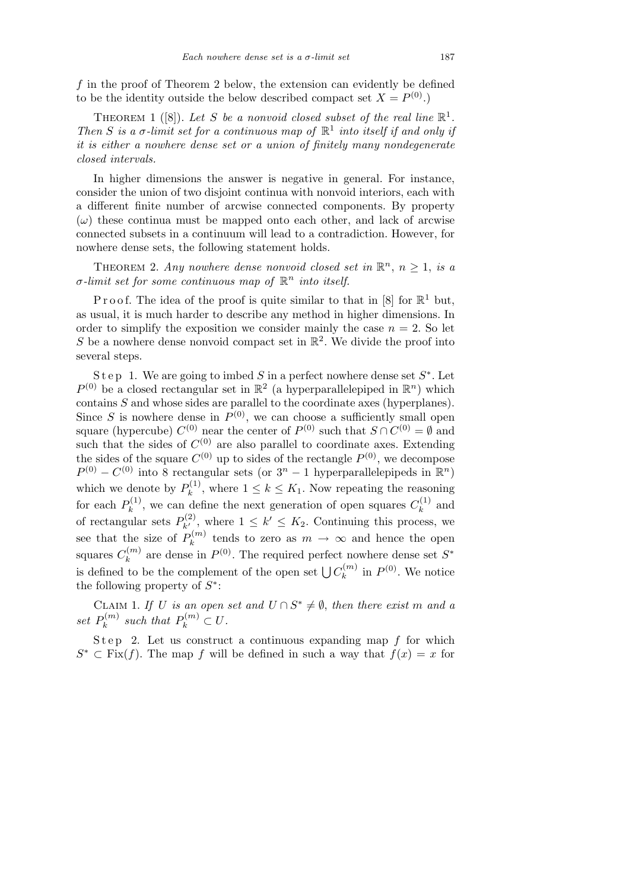*f* in the proof of Theorem 2 below, the extension can evidently be defined to be the identity outside the below described compact set  $X = P^{(0)}$ .)

THEOREM 1 ([8]). Let S be a nonvoid closed subset of the real line  $\mathbb{R}^1$ . *Then S is a*  $\sigma$ -*limit set for a continuous map of*  $\mathbb{R}^1$  *into itself if and only if it is either a nowhere dense set or a union of finitely many nondegenerate closed intervals.*

In higher dimensions the answer is negative in general. For instance, consider the union of two disjoint continua with nonvoid interiors, each with a different finite number of arcwise connected components. By property  $(\omega)$  these continua must be mapped onto each other, and lack of arcwise connected subsets in a continuum will lead to a contradiction. However, for nowhere dense sets, the following statement holds.

THEOREM 2. Any nowhere dense nonvoid closed set in  $\mathbb{R}^n$ ,  $n \geq 1$ , is a  $\sigma$ *-limit set for some continuous map of*  $\mathbb{R}^n$  *into itself.* 

P r o o f. The idea of the proof is quite similar to that in [8] for  $\mathbb{R}^1$  but, as usual, it is much harder to describe any method in higher dimensions. In order to simplify the exposition we consider mainly the case  $n = 2$ . So let S be a nowhere dense nonvoid compact set in  $\mathbb{R}^2$ . We divide the proof into several steps.

Step 1. We are going to imbed *S* in a perfect nowhere dense set  $S^*$ . Let  $P^{(0)}$  be a closed rectangular set in  $\mathbb{R}^2$  (a hyperparallelepiped in  $\mathbb{R}^n$ ) which contains *S* and whose sides are parallel to the coordinate axes (hyperplanes). Since *S* is nowhere dense in  $P^{(0)}$ , we can choose a sufficiently small open square (hypercube)  $C^{(0)}$  near the center of  $P^{(0)}$  such that  $S \cap C^{(0)} = \emptyset$  and such that the sides of  $C^{(0)}$  are also parallel to coordinate axes. Extending the sides of the square  $C^{(0)}$  up to sides of the rectangle  $P^{(0)}$ , we decompose  $P^{(0)} - C^{(0)}$  into 8 rectangular sets (or  $3^n - 1$  hyperparallelepipeds in  $\mathbb{R}^n$ ) which we denote by  $P_k^{(1)}$  $k^{(1)}$ , where  $1 \leq k \leq K_1$ . Now repeating the reasoning for each  $P_k^{(1)}$  $k_k^{(1)}$ , we can define the next generation of open squares  $C_k^{(1)}$  $k^{(1)}$  and of rectangular sets  $P_{k'}^{(2)}$ , where  $1 \leq k' \leq K_2$ . Continuing this process, we see that the size of  $P_k^{(m)}$  $\binom{n}{k}$  tends to zero as  $m \to \infty$  and hence the open squares  $C_k^{(m)}$  $k^{(m)}$  are dense in  $P^{(0)}$ . The required perfect nowhere dense set  $S^*$ is defined to be the complement of the open set  $\bigcup C_k^{(m)}$  $k^{(m)}$  in  $P^{(0)}$ . We notice the following property of *S ∗* :

CLAIM 1. *If U is an open set and*  $U \cap S^* \neq \emptyset$ , *then there exist m and a* set  $P_k^{(m)}$  $P_k^{(m)}$  *such that*  $P_k^{(m)} \subset U$ .

Step 2. Let us construct a continuous expanding map  $f$  for which  $S^*$  *⊂* Fix(*f*). The map *f* will be defined in such a way that  $f(x) = x$  for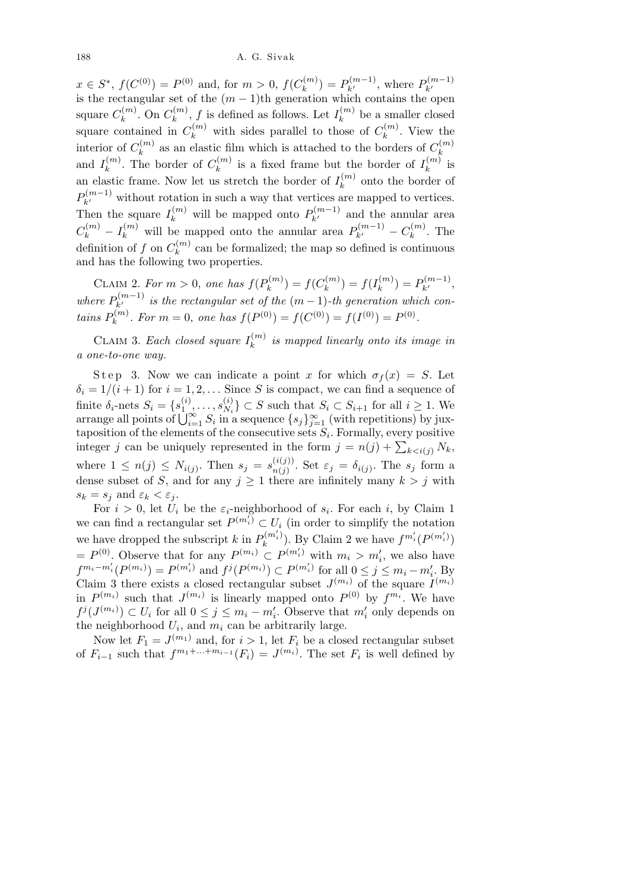$x \in S^*$ ,  $f(C^{(0)}) = P^{(0)}$  and, for  $m > 0$ ,  $f(C_k^{(m)})$  $P_k^{(m)}$  =  $P_{k'}^{(m-1)}$ , where  $P_{k'}^{(m-1)}$  $k \in S$ ,  $f(C^{(v)}) = I^{(v)}$  and, for  $m > 0$ ,  $f(C_k) = I_{k'}$ , where  $I_{k'}$  is the rectangular set of the  $(m-1)$ th generation which contains the open square  $C_k^{(m)}$  $C_k^{(m)}$ . On  $C_k^{(m)}$  $f_k^{(m)}$ , *f* is defined as follows. Let  $I_k^{(m)}$  $k^{(m)}$  be a smaller closed square contained in  $C_k^{(m)}$  with sides parallel to those of  $C_k^{(m)}$  $k^{(m)}$ . View the interior of  $C_k^{(m)}$  $k$ <sup>(*m*)</sup>) as an elastic film which is attached to the borders of  $C_k^{(m)}$ *k* and  $I_k^{(m)}$  $k^{(m)}$ . The border of  $C_k^{(m)}$  $\binom{m}{k}$  is a fixed frame but the border of  $I_k^{(m)}$  $\binom{m}{k}$  is an elastic frame. Now let us stretch the border of  $I_k^{(m)}$  $k^{(m)}$  onto the border of  $P_{k'}^{(m-1)}$  without rotation in such a way that vertices are mapped to vertices. Then the square  $I_k^{(m)}$  will be mapped onto  $P_{k'}^{(m-1)}$  and the annular area  $C_k^{(m)} - I_k^{(m)}$  will be mapped onto the annular area  $P_{k'}^{(m-1)} - C_k^{(m)}$  $\binom{m}{k}$ . The definition of  $f$  on  $C_k^{(m)}$  $k<sup>(m)</sup>$  can be formalized; the map so defined is continuous and has the following two properties.

CLAIM 2. For  $m > 0$ , one has  $f(P_k^{(m)})$  $f_k^{(m)}$ ) =  $f(C_k^{(m)})$  $f_k^{(m)}$ ) =  $f(I_k^{(m)}$  $P_k^{(m)}$ ) =  $P_{k'}^{(m-1)}$ , *where*  $P_{k'}^{(m-1)}$  *is the rectangular set of the*  $(m-1)$ *-th generation which con* $tains P_k^{(m)}$ *k*<sup>(*m*</sup>). For  $m = 0$ , one has  $f(P^{(0)}) = f(C^{(0)}) = f(I^{(0)}) = P^{(0)}$ .

CLAIM 3. *Each closed square*  $I_k^{(m)}$ *k is mapped linearly onto its image in a one-to-one way.*

Step 3. Now we can indicate a point *x* for which  $\sigma_f(x) = S$ . Let  $\delta_i = 1/(i+1)$  for  $i = 1, 2, \ldots$  Since *S* is compact, we can find a sequence of finite  $\delta_i$ -nets  $S_i = \{s_1^{(i)}\}$  $\binom{i}{1}, \ldots, s_{N_i}^{(i)}$ finite  $\delta_i$ -nets  $S_i = \{s_1^{(i)}, \ldots, s_{N_i}^{(i)}\} \subset S$  such that  $S_i \subset S_{i+1}$  for all  $i \ge 1$ . We arrange all points of  $\bigcup_{i=1}^{\infty} S_i$  in a sequence  $\{s_j\}_{j=1}^{\infty}$  (with repetitions) by juxtaposition of the elements of the consecutive sets *S<sup>i</sup>* . Formally, every positive taposition of the elements of the consecutive sets  $S_i$ . Formally, every positive integer *j* can be uniquely represented in the form  $j = n(j) + \sum_{k \leq i(j)} N_k$ , where  $1 \leq n(j) \leq N_{i(j)}$ . Then  $s_j = s_{n(j)}^{(i(j))}$  $\sum_{n(j)}^{(i(j))}$ . Set  $\varepsilon_j = \delta_{i(j)}$ . The  $s_j$  form a dense subset of *S*, and for any  $j \ge 1$  there are infinitely many  $k > j$  with  $s_k = s_j$  and  $\varepsilon_k < \varepsilon_j$ .

For  $i > 0$ , let  $U_i$  be the  $\varepsilon_i$ -neighborhood of  $s_i$ . For each *i*, by Claim 1 we can find a rectangular set  $P^{(m_i)} \subset U_i$  (in order to simplify the notation we have dropped the subscript *k* in  $P_k^{(m'_i)}$  $\lim_{k} \frac{P_{i}(m'_{i})}{p_{i}}$ . By Claim 2 we have  $f^{m'_{i}}(P^{(m'_{i})})$  $= P^{(0)}$ . Observe that for any  $P^{(m_i)} \subset P^{(m'_i)}$  with  $m_i > m'_i$ , we also have *i*  $f^{m_i-m'_i}(P^{(m_i)}) = P^{(m'_i)}$  and  $f^j(P^{(m_i)}) \subset P^{(m'_i)}$  for all  $0 \le j \le m_i - m'_i$ . By Claim 3 there exists a closed rectangular subset  $J^{(m_i)}$  of the square  $I^{(m_i)}$ in  $P^{(m_i)}$  such that  $J^{(m_i)}$  is linearly mapped onto  $P^{(0)}$  by  $f^{m_i}$ . We have  $f^j(J^{(m_i)}) \subset U_i$  for all  $0 \leq j \leq m_i - m'_i$ . Observe that  $m'_i$  only depends on the neighborhood  $U_i$ , and  $m_i$  can be arbitrarily large.

Now let  $F_1 = J^{(m_1)}$  and, for  $i > 1$ , let  $F_i$  be a closed rectangular subset of  $F_{i-1}$  such that  $f^{m_1+\ldots+m_{i-1}}(F_i) = J^{(m_i)}$ . The set  $F_i$  is well defined by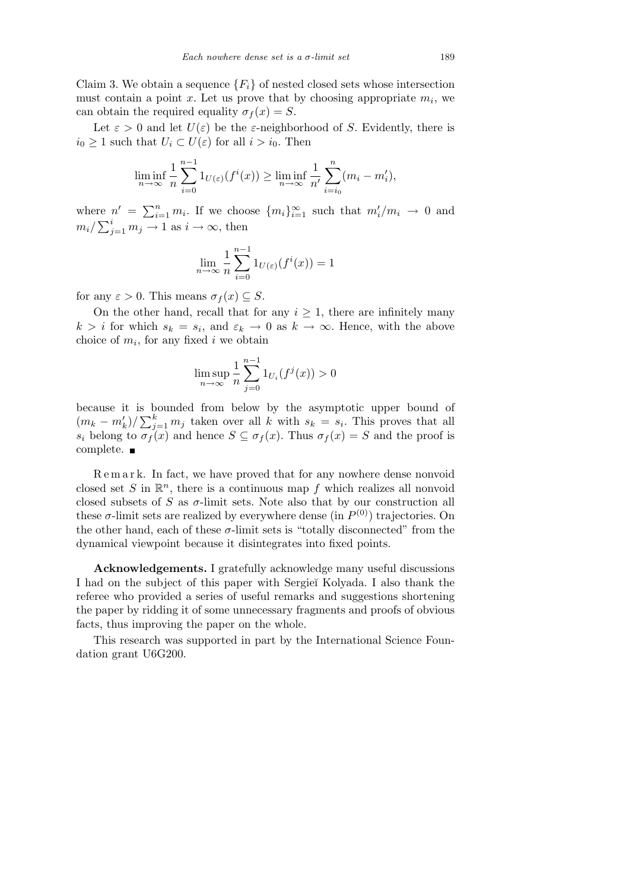Claim 3. We obtain a sequence  ${F_i}$  of nested closed sets whose intersection must contain a point  $x$ . Let us prove that by choosing appropriate  $m_i$ , we can obtain the required equality  $\sigma_f(x) = S$ .

Let  $\varepsilon > 0$  and let  $U(\varepsilon)$  be the  $\varepsilon$ -neighborhood of *S*. Evidently, there is  $i_0 \geq 1$  such that  $U_i \subset U(\varepsilon)$  for all  $i > i_0$ . Then

$$
\liminf_{n \to \infty} \frac{1}{n} \sum_{i=0}^{n-1} 1_{U(\varepsilon)}(f^i(x)) \ge \liminf_{n \to \infty} \frac{1}{n'} \sum_{i=i_0}^n (m_i - m'_i),
$$

where  $n' = \sum_{i=1}^{n}$  $m' = \sum_{i=1}^n m_i$ . If we choose  $\{m_i\}_{i=1}^\infty$  such that  $m'_i/m_i \to 0$  and  $m_i / \sum_{j=1}^i m_j \rightarrow 1$  as  $i \rightarrow \infty$ , then

$$
\lim_{n \to \infty} \frac{1}{n} \sum_{i=0}^{n-1} 1_{U(\varepsilon)}(f^i(x)) = 1
$$

for any  $\varepsilon > 0$ . This means  $\sigma_f(x) \subseteq S$ .

On the other hand, recall that for any  $i \geq 1$ , there are infinitely many  $k > i$  for which  $s_k = s_i$ , and  $\varepsilon_k \to 0$  as  $k \to \infty$ . Hence, with the above choice of  $m_i$ , for any fixed  $i$  we obtain

$$
\limsup_{n \to \infty} \frac{1}{n} \sum_{j=0}^{n-1} 1_{U_i}(f^j(x)) > 0
$$

because it is bounded from below by the asymptotic upper bound of  $(m_k - m'_k)/\sum_{j}^{k}$  $\int_{j=1}^{k} m_j$  taken over all *k* with  $s_k = s_i$ . This proves that all *s*<sup>*i*</sup> belong to  $\sigma_f(x)$  and hence  $S \subseteq \sigma_f(x)$ . Thus  $\sigma_f(x) = S$  and the proof is complete.

R e m a r k. In fact, we have proved that for any nowhere dense nonvoid closed set *S* in  $\mathbb{R}^n$ , there is a continuous map *f* which realizes all nonvoid closed subsets of  $S$  as  $\sigma$ -limit sets. Note also that by our construction all these  $\sigma$ -limit sets are realized by everywhere dense (in  $P^{(0)}$ ) trajectories. On the other hand, each of these  $\sigma$ -limit sets is "totally disconnected" from the dynamical viewpoint because it disintegrates into fixed points.

**Acknowledgements.** I gratefully acknowledge many useful discussions I had on the subject of this paper with Sergie˘ı Kolyada. I also thank the referee who provided a series of useful remarks and suggestions shortening the paper by ridding it of some unnecessary fragments and proofs of obvious facts, thus improving the paper on the whole.

This research was supported in part by the International Science Foundation grant U6G200.